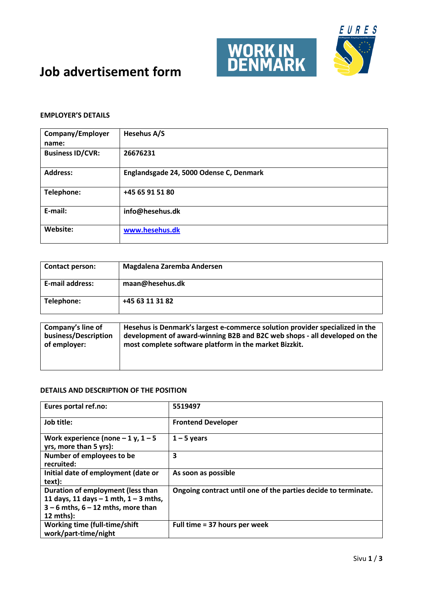

### **EMPLOYER'S DETAILS**

| Company/Employer<br>name: | Hesehus A/S                             |
|---------------------------|-----------------------------------------|
| <b>Business ID/CVR:</b>   | 26676231                                |
| <b>Address:</b>           | Englandsgade 24, 5000 Odense C, Denmark |
| Telephone:                | +45 65 91 51 80                         |
| E-mail:                   | info@hesehus.dk                         |
| Website:                  | www.hesehus.dk                          |

| Contact person:      | Magdalena Zaremba Andersen                                                   |
|----------------------|------------------------------------------------------------------------------|
| E-mail address:      | maan@hesehus.dk                                                              |
| Telephone:           | +45 63 11 31 82                                                              |
| Company's line of    | Hesehus is Denmark's largest e-commerce solution provider specialized in the |
| business/Description | development of award-winning B2B and B2C web shops - all developed on the    |

| business/Description | development of award-winning B2B and B2C web shops - all developed on the |
|----------------------|---------------------------------------------------------------------------|
| l of emplover:       | most complete software platform in the market Bizzkit.                    |
|                      |                                                                           |

| Eures portal ref.no:                                                                                                                           | 5519497                                                        |
|------------------------------------------------------------------------------------------------------------------------------------------------|----------------------------------------------------------------|
| Job title:                                                                                                                                     | <b>Frontend Developer</b>                                      |
| Work experience (none $-1$ y, $1-5$<br>yrs, more than 5 yrs):                                                                                  | $1 - 5$ years                                                  |
| Number of employees to be<br>recruited:                                                                                                        | 3                                                              |
| Initial date of employment (date or<br>text):                                                                                                  | As soon as possible                                            |
| Duration of employment (less than<br>11 days, 11 days $-1$ mth, $1 - 3$ mths,<br>$3 - 6$ mths, $6 - 12$ mths, more than<br>$12 \text{ mths}$ : | Ongoing contract until one of the parties decide to terminate. |
| <b>Working time (full-time/shift</b><br>work/part-time/night                                                                                   | Full time = 37 hours per week                                  |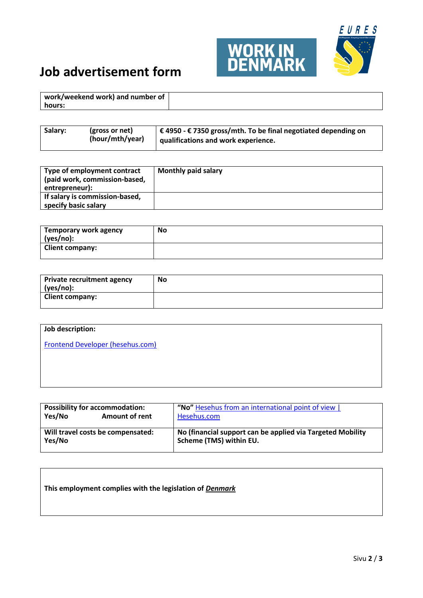

| work/weekend work) and number of |  |
|----------------------------------|--|
| hours:                           |  |

| Salary:<br>$\vert$ € 4950 - € 7350 gross/mth. To be final negotiated depending on<br>(gross or net)<br>(hour/mth/year)<br>  qualifications and work experience. |  |
|-----------------------------------------------------------------------------------------------------------------------------------------------------------------|--|
|-----------------------------------------------------------------------------------------------------------------------------------------------------------------|--|

| Type of employment contract<br>(paid work, commission-based,<br>entrepreneur): | <b>Monthly paid salary</b> |
|--------------------------------------------------------------------------------|----------------------------|
| If salary is commission-based,<br>specify basic salary                         |                            |

| Temporary work agency  | No |
|------------------------|----|
| (yes/no):              |    |
| <b>Client company:</b> |    |

| <b>Private recruitment agency</b><br>(yes/no): | <b>No</b> |
|------------------------------------------------|-----------|
| <b>Client company:</b>                         |           |

## **Job description:**

[Frontend Developer \(hesehus.com\)](https://www.hesehus.com/career/frontend-developer)

| <b>Possibility for accommodation:</b><br>Yes/No<br><b>Amount of rent</b> | "No" Hesehus from an international point of view  <br>Hesehus.com |
|--------------------------------------------------------------------------|-------------------------------------------------------------------|
| Will travel costs be compensated:                                        | No (financial support can be applied via Targeted Mobility        |
| Yes/No                                                                   | Scheme (TMS) within EU.                                           |

| This employment complies with the legislation of Denmark |  |  |  |  |  |
|----------------------------------------------------------|--|--|--|--|--|
|----------------------------------------------------------|--|--|--|--|--|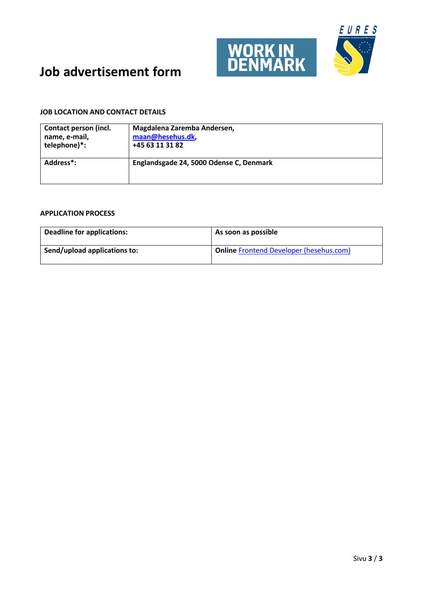

### **JOB LOCATION AND CONTACT DETAILS**

| Contact person (incl.  | Magdalena Zaremba Andersen,             |
|------------------------|-----------------------------------------|
| name, e-mail,          | maan@hesehus.dk,                        |
| telephone)*:           | +45 63 11 31 82                         |
| Address <sup>*</sup> : | Englandsgade 24, 5000 Odense C, Denmark |

| Deadline for applications:   | As soon as possible                     |
|------------------------------|-----------------------------------------|
| Send/upload applications to: | Online Frontend Developer (hesehus.com) |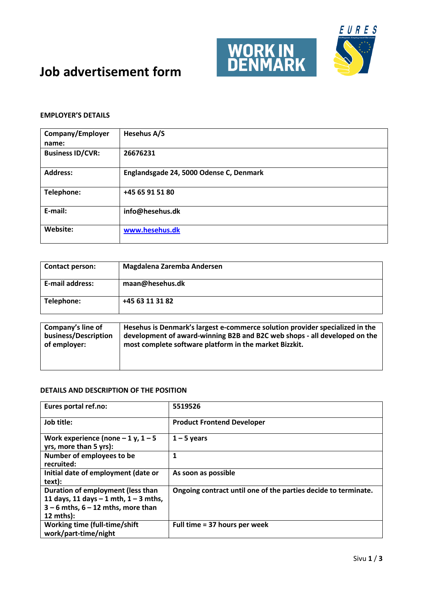

### **EMPLOYER'S DETAILS**

| Company/Employer<br>name: | Hesehus A/S                             |
|---------------------------|-----------------------------------------|
| <b>Business ID/CVR:</b>   | 26676231                                |
| <b>Address:</b>           | Englandsgade 24, 5000 Odense C, Denmark |
| Telephone:                | +45 65 91 51 80                         |
| E-mail:                   | info@hesehus.dk                         |
| Website:                  | www.hesehus.dk                          |

| <b>Contact person:</b>                    | Magdalena Zaremba Andersen                                                                                                                                |
|-------------------------------------------|-----------------------------------------------------------------------------------------------------------------------------------------------------------|
| E-mail address:                           | maan@hesehus.dk                                                                                                                                           |
| Telephone:                                | +45 63 11 31 82                                                                                                                                           |
| Company's line of<br>business/Description | Hesehus is Denmark's largest e-commerce solution provider specialized in the<br>development of award-winning B2B and B2C web shops - all developed on the |

| business/Description | development of award-winning B2B and B2C web shops - all developed on the |  |
|----------------------|---------------------------------------------------------------------------|--|
| of employer:         | most complete software platform in the market Bizzkit.                    |  |
|                      |                                                                           |  |

| Eures portal ref.no:                                                                                                                           | 5519526                                                        |
|------------------------------------------------------------------------------------------------------------------------------------------------|----------------------------------------------------------------|
| Job title:                                                                                                                                     | <b>Product Frontend Developer</b>                              |
| Work experience (none $-1$ y, $1-5$<br>yrs, more than 5 yrs):                                                                                  | $1 - 5$ years                                                  |
| Number of employees to be<br>recruited:                                                                                                        | 1                                                              |
| Initial date of employment (date or<br>text):                                                                                                  | As soon as possible                                            |
| Duration of employment (less than<br>11 days, 11 days $-1$ mth, $1 - 3$ mths,<br>$3 - 6$ mths, $6 - 12$ mths, more than<br>$12 \text{ mths}$ : | Ongoing contract until one of the parties decide to terminate. |
| Working time (full-time/shift<br>work/part-time/night                                                                                          | Full time = 37 hours per week                                  |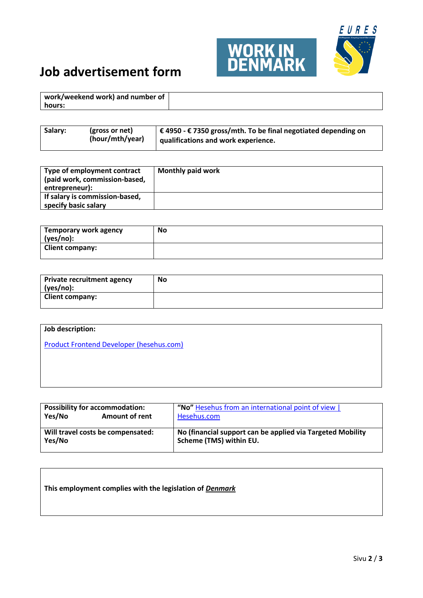

| work/weekend work) and number of |  |
|----------------------------------|--|
| hours:                           |  |

| Salary:<br>$\vert$ € 4950 - € 7350 gross/mth. To be final negotiated depending on<br>(gross or net)<br>(hour/mth/year)<br>qualifications and work experience. |  |
|---------------------------------------------------------------------------------------------------------------------------------------------------------------|--|
|---------------------------------------------------------------------------------------------------------------------------------------------------------------|--|

| Type of employment contract<br>(paid work, commission-based,<br>entrepreneur): | <b>Monthly paid work</b> |
|--------------------------------------------------------------------------------|--------------------------|
| If salary is commission-based,<br>specify basic salary                         |                          |

| <b>Temporary work agency</b><br>(yes/no): | No |
|-------------------------------------------|----|
| <b>Client company:</b>                    |    |

| Private recruitment agency<br>(yes/no): | <b>No</b> |
|-----------------------------------------|-----------|
| <b>Client company:</b>                  |           |

## **Job description:**

[Product Frontend Developer \(hesehus.com\)](https://www.hesehus.com/career/product-frontend-developer)

| <b>Possibility for accommodation:</b><br>Yes/No<br><b>Amount of rent</b> | "No" Hesehus from an international point of view  <br>Hesehus.com |  |
|--------------------------------------------------------------------------|-------------------------------------------------------------------|--|
| Will travel costs be compensated:                                        | No (financial support can be applied via Targeted Mobility        |  |
| Yes/No                                                                   | Scheme (TMS) within EU.                                           |  |

| This employment complies with the legislation of Denmark |  |  |  |
|----------------------------------------------------------|--|--|--|
|----------------------------------------------------------|--|--|--|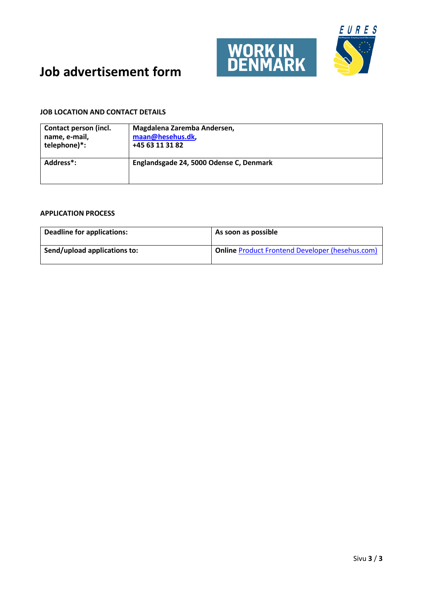

### **JOB LOCATION AND CONTACT DETAILS**

| Contact person (incl.  | Magdalena Zaremba Andersen,             |
|------------------------|-----------------------------------------|
| name, e-mail,          | maan@hesehus.dk,                        |
| telephone)*:           | +45 63 11 31 82                         |
| Address <sup>*</sup> : | Englandsgade 24, 5000 Odense C, Denmark |

| <b>Deadline for applications:</b> | As soon as possible                                    |
|-----------------------------------|--------------------------------------------------------|
| Send/upload applications to:      | <b>Online Product Frontend Developer (hesehus.com)</b> |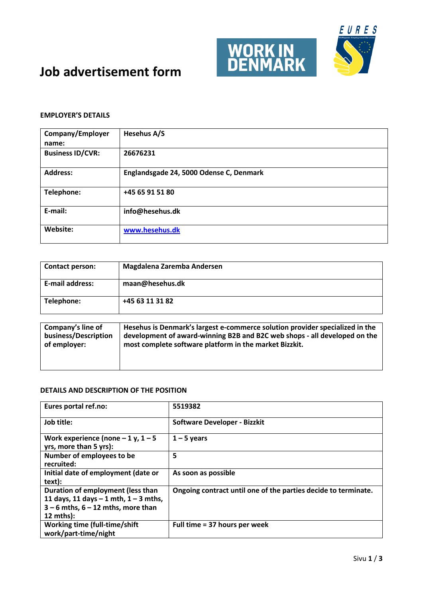

### **EMPLOYER'S DETAILS**

| Company/Employer<br>name: | Hesehus A/S                             |
|---------------------------|-----------------------------------------|
| <b>Business ID/CVR:</b>   | 26676231                                |
| <b>Address:</b>           | Englandsgade 24, 5000 Odense C, Denmark |
| Telephone:                | +45 65 91 51 80                         |
| E-mail:                   | info@hesehus.dk                         |
| Website:                  | www.hesehus.dk                          |

| Contact person:                           | Magdalena Zaremba Andersen                                                                                                                                |
|-------------------------------------------|-----------------------------------------------------------------------------------------------------------------------------------------------------------|
| E-mail address:                           | maan@hesehus.dk                                                                                                                                           |
| Telephone:                                | +45 63 11 31 82                                                                                                                                           |
| Company's line of<br>business/Description | Hesehus is Denmark's largest e-commerce solution provider specialized in the<br>development of award-winning B2B and B2C web shops - all developed on the |

| Company's line of    | Hesenus is Denmark's largest e-commerce solution provider specialized in the |
|----------------------|------------------------------------------------------------------------------|
| business/Description | development of award-winning B2B and B2C web shops - all developed on the    |
| of employer:         | most complete software platform in the market Bizzkit.                       |
|                      |                                                                              |
|                      |                                                                              |
|                      |                                                                              |

| Eures portal ref.no:                                                                                                                   | 5519382                                                        |
|----------------------------------------------------------------------------------------------------------------------------------------|----------------------------------------------------------------|
| Job title:                                                                                                                             | <b>Software Developer - Bizzkit</b>                            |
| Work experience (none $-1$ y, $1-5$<br>yrs, more than 5 yrs):                                                                          | $1 - 5$ years                                                  |
| Number of employees to be<br>recruited:                                                                                                | 5                                                              |
| Initial date of employment (date or<br>text):                                                                                          | As soon as possible                                            |
| Duration of employment (less than<br>11 days, 11 days $-1$ mth, $1 - 3$ mths,<br>$3 - 6$ mths, $6 - 12$ mths, more than<br>$12$ mths): | Ongoing contract until one of the parties decide to terminate. |
| <b>Working time (full-time/shift</b><br>work/part-time/night                                                                           | Full time = 37 hours per week                                  |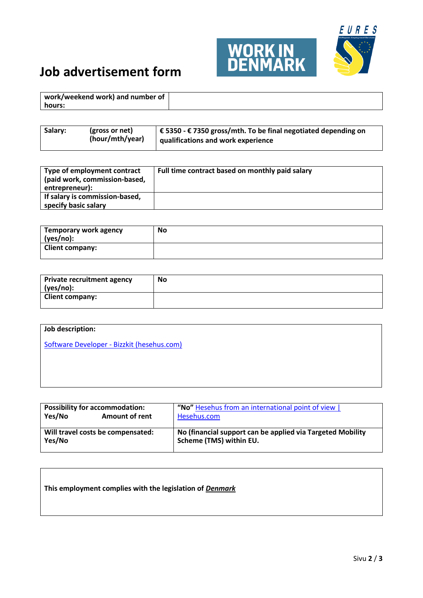

| work/weekend work) and number of |  |
|----------------------------------|--|
| hours:                           |  |

| Salary: | (gross or net)<br>(hour/mth/year) | $\vert \in$ 5350 - € 7350 gross/mth. To be final negotiated depending on<br><b>qualifications and work experience</b> |
|---------|-----------------------------------|-----------------------------------------------------------------------------------------------------------------------|
|         |                                   |                                                                                                                       |

| Type of employment contract<br>(paid work, commission-based,<br>entrepreneur): | Full time contract based on monthly paid salary |
|--------------------------------------------------------------------------------|-------------------------------------------------|
| If salary is commission-based,<br>specify basic salary                         |                                                 |

| Temporary work agency<br>(yes/no): | No |
|------------------------------------|----|
| <b>Client company:</b>             |    |

| Private recruitment agency<br>(yes/no): | <b>No</b> |
|-----------------------------------------|-----------|
| <b>Client company:</b>                  |           |

## **Job description:**

Software Developer - [Bizzkit \(hesehus.com\)](https://www.hesehus.com/career/backend-developer---bizzkit)

| <b>Possibility for accommodation:</b><br>Yes/No<br><b>Amount of rent</b> | "No" Hesehus from an international point of view  <br>Hesehus.com |
|--------------------------------------------------------------------------|-------------------------------------------------------------------|
| Will travel costs be compensated:                                        | No (financial support can be applied via Targeted Mobility        |
| Yes/No                                                                   | Scheme (TMS) within EU.                                           |

| This employment complies with the legislation of Denmark |  |  |  |
|----------------------------------------------------------|--|--|--|
|----------------------------------------------------------|--|--|--|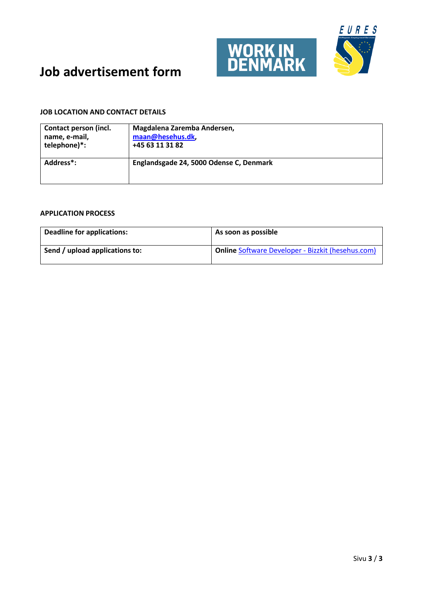

### **JOB LOCATION AND CONTACT DETAILS**

| Contact person (incl.  | Magdalena Zaremba Andersen,             |
|------------------------|-----------------------------------------|
| name, e-mail,          | maan@hesehus.dk,                        |
| telephone)*:           | +45 63 11 31 82                         |
| Address <sup>*</sup> : | Englandsgade 24, 5000 Odense C, Denmark |

| <b>Deadline for applications:</b> | As soon as possible                                      |
|-----------------------------------|----------------------------------------------------------|
| Send / upload applications to:    | <b>Online Software Developer - Bizzkit (hesehus.com)</b> |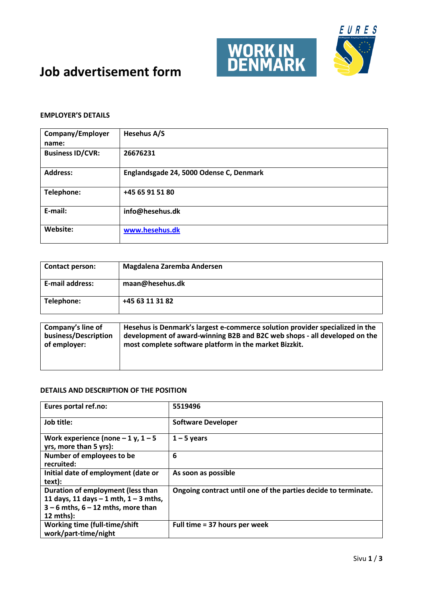

### **EMPLOYER'S DETAILS**

| Company/Employer<br>name: | Hesehus A/S                             |
|---------------------------|-----------------------------------------|
| <b>Business ID/CVR:</b>   | 26676231                                |
| <b>Address:</b>           | Englandsgade 24, 5000 Odense C, Denmark |
| Telephone:                | +45 65 91 51 80                         |
| E-mail:                   | info@hesehus.dk                         |
| Website:                  | www.hesehus.dk                          |

| Contact person:                           | Magdalena Zaremba Andersen                                                                                                                                |
|-------------------------------------------|-----------------------------------------------------------------------------------------------------------------------------------------------------------|
| E-mail address:                           | maan@hesehus.dk                                                                                                                                           |
| Telephone:                                | +45 63 11 31 82                                                                                                                                           |
| Company's line of<br>business/Description | Hesehus is Denmark's largest e-commerce solution provider specialized in the<br>development of award-winning B2B and B2C web shops - all developed on the |

| business/Description | development of award-winning B2B and B2C web shops - all developed on the |
|----------------------|---------------------------------------------------------------------------|
| l of emplover:       | most complete software platform in the market Bizzkit.                    |
|                      |                                                                           |

| Eures portal ref.no:                                                                                                                           | 5519496                                                        |
|------------------------------------------------------------------------------------------------------------------------------------------------|----------------------------------------------------------------|
| Job title:                                                                                                                                     | <b>Software Developer</b>                                      |
| Work experience (none $-1$ y, $1-5$<br>yrs, more than 5 yrs):                                                                                  | $1 - 5$ years                                                  |
| Number of employees to be<br>recruited:                                                                                                        | 6                                                              |
| Initial date of employment (date or<br>text):                                                                                                  | As soon as possible                                            |
| Duration of employment (less than<br>11 days, 11 days $-1$ mth, $1 - 3$ mths,<br>$3 - 6$ mths, $6 - 12$ mths, more than<br>$12 \text{ mths}$ : | Ongoing contract until one of the parties decide to terminate. |
| Working time (full-time/shift<br>work/part-time/night                                                                                          | Full time = 37 hours per week                                  |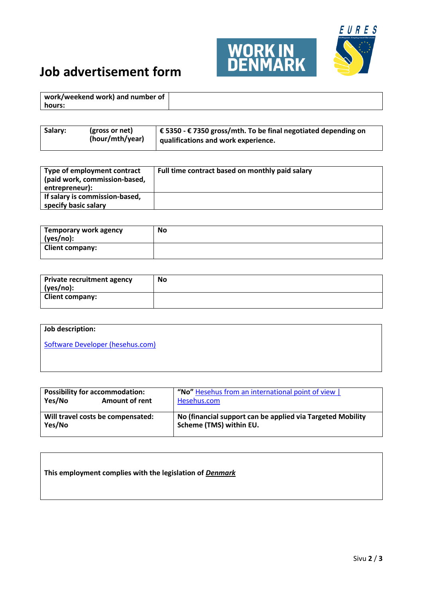

| work/weekend work) and number of |  |
|----------------------------------|--|
| hours:                           |  |

| Salary:<br>$\vert$ € 5350 - € 7350 gross/mth. To be final negotiated depending on<br>(gross or net)<br>(hour/mth/year)<br>qualifications and work experience. |  |
|---------------------------------------------------------------------------------------------------------------------------------------------------------------|--|
|---------------------------------------------------------------------------------------------------------------------------------------------------------------|--|

| Type of employment contract<br>(paid work, commission-based,<br>entrepreneur): | Full time contract based on monthly paid salary |
|--------------------------------------------------------------------------------|-------------------------------------------------|
| If salary is commission-based,<br>specify basic salary                         |                                                 |

| Temporary work agency<br>(yes/no): | No |
|------------------------------------|----|
| <b>Client company:</b>             |    |

| <b>Private recruitment agency</b><br>(yes/no): | <b>No</b> |
|------------------------------------------------|-----------|
| <b>Client company:</b>                         |           |

## **Job description:**

[Software Developer \(hesehus.com\)](https://www.hesehus.com/career/software-developer)

| <b>Possibility for accommodation:</b><br>Yes/No<br><b>Amount of rent</b> | "No" Hesehus from an international point of view  <br>Hesehus.com |
|--------------------------------------------------------------------------|-------------------------------------------------------------------|
| Will travel costs be compensated:                                        | No (financial support can be applied via Targeted Mobility        |
| Yes/No                                                                   | Scheme (TMS) within EU.                                           |

### **This employment complies with the legislation of** *Denmark*